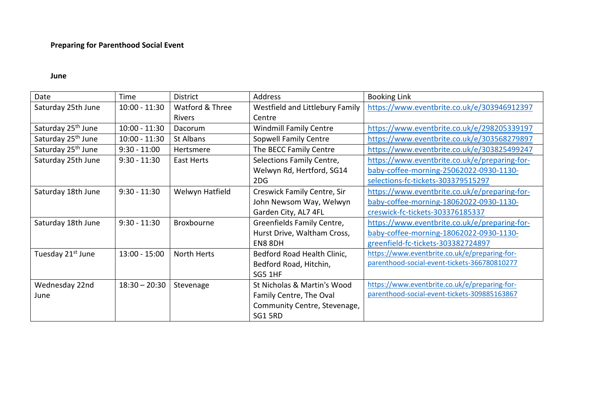## **Preparing for Parenthood Social Event**

## **June**

| Date                           | Time            | <b>District</b> | Address                         | <b>Booking Link</b>                           |
|--------------------------------|-----------------|-----------------|---------------------------------|-----------------------------------------------|
| Saturday 25th June             | $10:00 - 11:30$ | Watford & Three | Westfield and Littlebury Family | https://www.eventbrite.co.uk/e/303946912397   |
|                                |                 | Rivers          | Centre                          |                                               |
| Saturday 25 <sup>th</sup> June | $10:00 - 11:30$ | Dacorum         | <b>Windmill Family Centre</b>   | https://www.eventbrite.co.uk/e/298205339197   |
| Saturday 25 <sup>th</sup> June | $10:00 - 11:30$ | St Albans       | <b>Sopwell Family Centre</b>    | https://www.eventbrite.co.uk/e/303568279897   |
| Saturday 25 <sup>th</sup> June | $9:30 - 11:00$  | Hertsmere       | The BECC Family Centre          | https://www.eventbrite.co.uk/e/303825499247   |
| Saturday 25th June             | $9:30 - 11:30$  | East Herts      | Selections Family Centre,       | https://www.eventbrite.co.uk/e/preparing-for- |
|                                |                 |                 | Welwyn Rd, Hertford, SG14       | baby-coffee-morning-25062022-0930-1130-       |
|                                |                 |                 | 2DG                             | selections-fc-tickets-303379515297            |
| Saturday 18th June             | $9:30 - 11:30$  | Welwyn Hatfield | Creswick Family Centre, Sir     | https://www.eventbrite.co.uk/e/preparing-for- |
|                                |                 |                 | John Newsom Way, Welwyn         | baby-coffee-morning-18062022-0930-1130-       |
|                                |                 |                 | Garden City, AL7 4FL            | creswick-fc-tickets-303376185337              |
| Saturday 18th June             | $9:30 - 11:30$  | Broxbourne      | Greenfields Family Centre,      | https://www.eventbrite.co.uk/e/preparing-for- |
|                                |                 |                 | Hurst Drive, Waltham Cross,     | baby-coffee-morning-18062022-0930-1130-       |
|                                |                 |                 | EN8 8DH                         | greenfield-fc-tickets-303382724897            |
| Tuesday 21 <sup>st</sup> June  | $13:00 - 15:00$ | North Herts     | Bedford Road Health Clinic,     | https://www.eventbrite.co.uk/e/preparing-for- |
|                                |                 |                 | Bedford Road, Hitchin,          | parenthood-social-event-tickets-366780810277  |
|                                |                 |                 | SG5 1HF                         |                                               |
| Wednesday 22nd                 | $18:30 - 20:30$ | Stevenage       | St Nicholas & Martin's Wood     | https://www.eventbrite.co.uk/e/preparing-for- |
| June                           |                 |                 | Family Centre, The Oval         | parenthood-social-event-tickets-309885163867  |
|                                |                 |                 | Community Centre, Stevenage,    |                                               |
|                                |                 |                 | SG1 5RD                         |                                               |